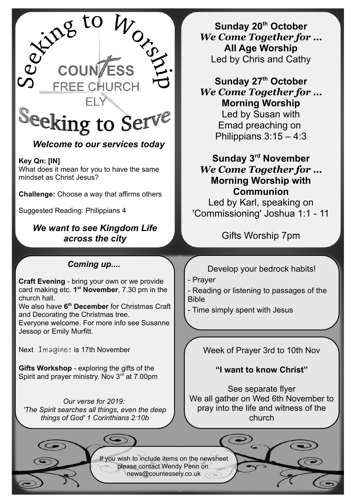

# *Welcome to our services today*

**Key Qn: [IN]**  What does it mean for you to have the same mindset as Christ Jesus?

**Challenge:** Choose a way that affirms others

Suggested Reading: Philippians 4

*We want to see Kingdom Life across the city*

## *Coming up....*

**Craft Evening** - bring your own or we provide card making etc. **1 st November**, 7.30 pm in the church hall.

We also have **6 th December** for Christmas Craft and Decorating the Christmas tree.

Everyone welcome. For more info see Susanne Jessop or Emily Murfitt.

Next Imagine! is 17th November

**Gifts Workshop** - exploring the gifts of the Spirit and prayer ministry. Nov  $3<sup>rd</sup>$  at 7.00pm

*Our verse for 2019: 'The Spirit searches all things, even the deep things of God' 1 Corinthians 2:10b*

**Sunday 20th October** *We Come Together for …* **All Age Worship** Led by Chris and Cathy

**Sunday 27th October** *We Come Together for …* **Morning Worship** Led by Susan with Emad preaching on Philippians 3:15 – 4:3

**Sunday 3rd November** *We Come Together for …* **Morning Worship with Communion**

Led by Karl, speaking on 'Commissioning' Joshua 1:1 - 11

Gifts Worship 7pm

Develop your bedrock habits!

- Prayer

- Reading or listening to passages of the Bible

- Time simply spent with Jesus

Week of Prayer 3rd to 10th Nov

**"I want to know Christ"**

See separate flyer We all gather on Wed 6th November to pray into the life and witness of the church

If you wish to include items on the newsheet please contact Wendy Penn on [news@countessely.co.uk](mailto:news@countessely.co.uk)